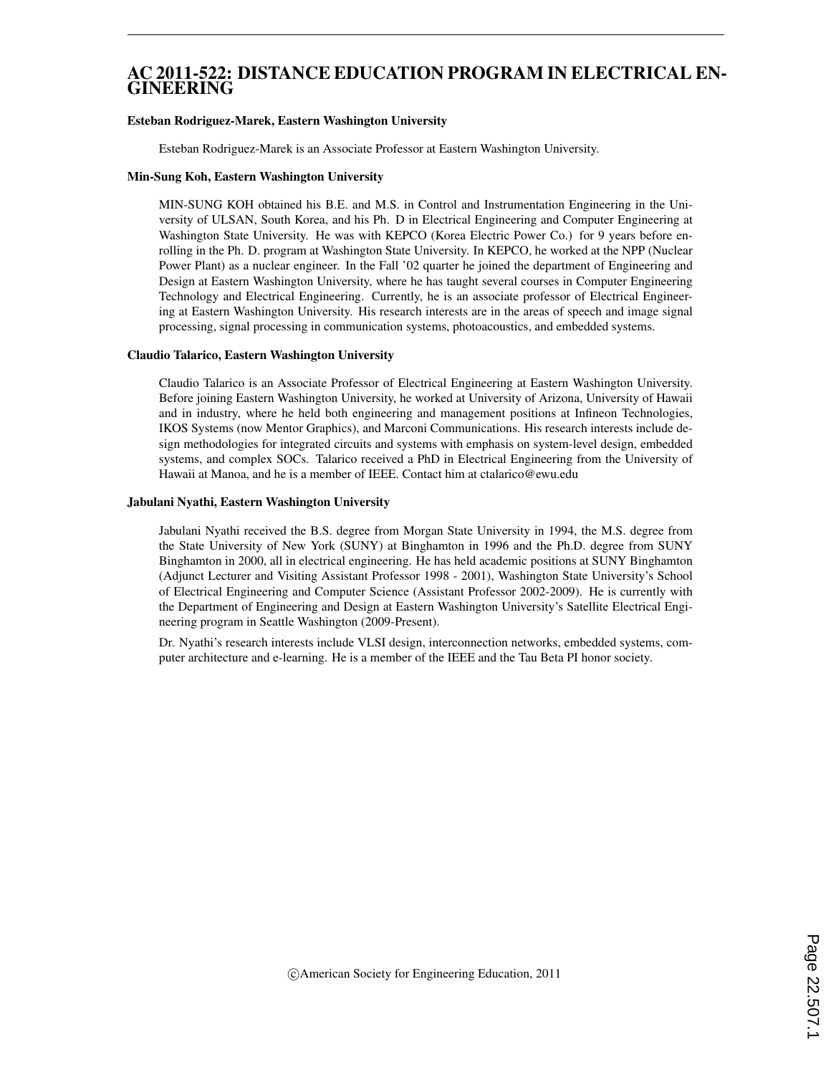## AC 2011-522: DISTANCE EDUCATION PROGRAM IN ELECTRICAL EN-GINEERING

#### Esteban Rodriguez-Marek, Eastern Washington University

Esteban Rodriguez-Marek is an Associate Professor at Eastern Washington University.

#### Min-Sung Koh, Eastern Washington University

MIN-SUNG KOH obtained his B.E. and M.S. in Control and Instrumentation Engineering in the University of ULSAN, South Korea, and his Ph. D in Electrical Engineering and Computer Engineering at Washington State University. He was with KEPCO (Korea Electric Power Co.) for 9 years before enrolling in the Ph. D. program at Washington State University. In KEPCO, he worked at the NPP (Nuclear Power Plant) as a nuclear engineer. In the Fall '02 quarter he joined the department of Engineering and Design at Eastern Washington University, where he has taught several courses in Computer Engineering Technology and Electrical Engineering. Currently, he is an associate professor of Electrical Engineering at Eastern Washington University. His research interests are in the areas of speech and image signal processing, signal processing in communication systems, photoacoustics, and embedded systems.

#### Claudio Talarico, Eastern Washington University

Claudio Talarico is an Associate Professor of Electrical Engineering at Eastern Washington University. Before joining Eastern Washington University, he worked at University of Arizona, University of Hawaii and in industry, where he held both engineering and management positions at Infineon Technologies, IKOS Systems (now Mentor Graphics), and Marconi Communications. His research interests include design methodologies for integrated circuits and systems with emphasis on system-level design, embedded systems, and complex SOCs. Talarico received a PhD in Electrical Engineering from the University of Hawaii at Manoa, and he is a member of IEEE. Contact him at ctalarico@ewu.edu

#### Jabulani Nyathi, Eastern Washington University

Jabulani Nyathi received the B.S. degree from Morgan State University in 1994, the M.S. degree from the State University of New York (SUNY) at Binghamton in 1996 and the Ph.D. degree from SUNY Binghamton in 2000, all in electrical engineering. He has held academic positions at SUNY Binghamton (Adjunct Lecturer and Visiting Assistant Professor 1998 - 2001), Washington State University's School of Electrical Engineering and Computer Science (Assistant Professor 2002-2009). He is currently with the Department of Engineering and Design at Eastern Washington University's Satellite Electrical Engineering program in Seattle Washington (2009-Present).

Dr. Nyathi's research interests include VLSI design, interconnection networks, embedded systems, computer architecture and e-learning. He is a member of the IEEE and the Tau Beta PI honor society.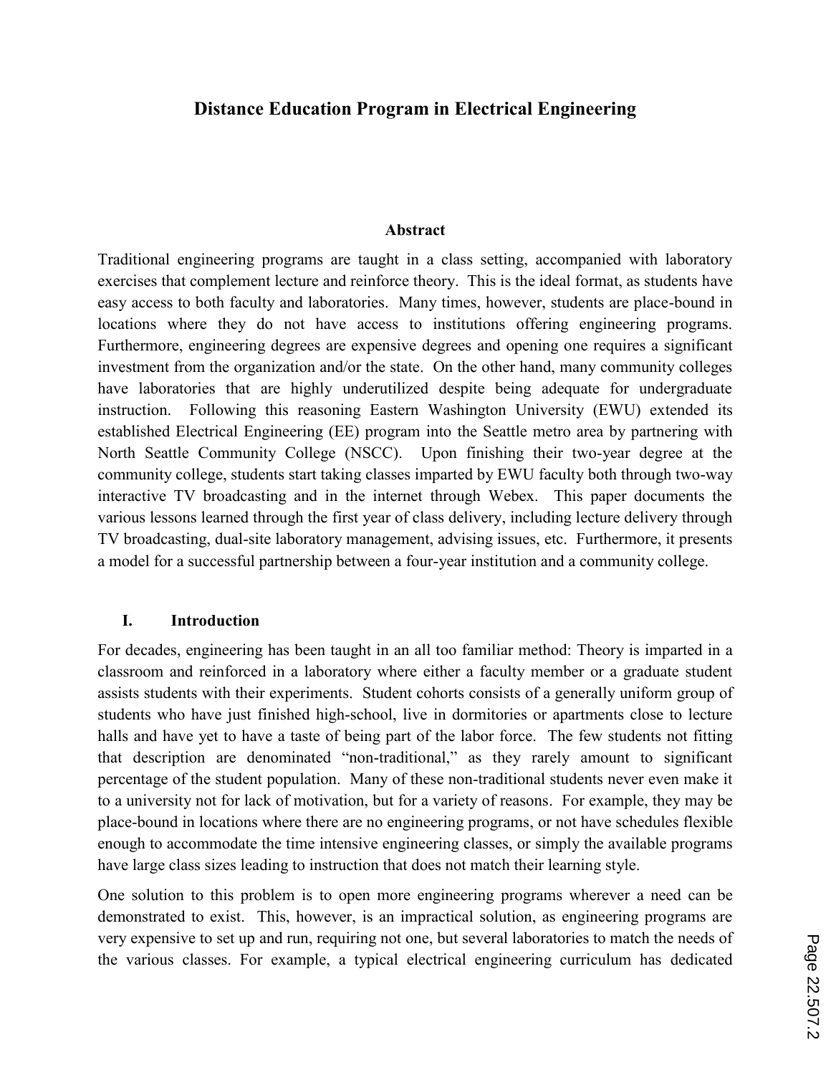# **Distance Education Program in Electrical Engineering**

### **Abstract**

Traditional engineering programs are taught in a class setting, accompanied with laboratory exercises that complement lecture and reinforce theory. This is the ideal format, as students have easy access to both faculty and laboratories. Many times, however, students are place-bound in locations where they do not have access to institutions offering engineering programs. Furthermore, engineering degrees are expensive degrees and opening one requires a significant investment from the organization and/or the state. On the other hand, many community colleges have laboratories that are highly underutilized despite being adequate for undergraduate instruction. Following this reasoning Eastern Washington University (EWU) extended its established Electrical Engineering (EE) program into the Seattle metro area by partnering with North Seattle Community College (NSCC). Upon finishing their two-year degree at the community college, students start taking classes imparted by EWU faculty both through two-way interactive TV broadcasting and in the internet through Webex. This paper documents the various lessons learned through the first year of class delivery, including lecture delivery through TV broadcasting, dual-site laboratory management, advising issues, etc. Furthermore, it presents a model for a successful partnership between a four-year institution and a community college.

### **I. Introduction**

For decades, engineering has been taught in an all too familiar method: Theory is imparted in a classroom and reinforced in a laboratory where either a faculty member or a graduate student assists students with their experiments. Student cohorts consists of a generally uniform group of students who have just finished high-school, live in dormitories or apartments close to lecture halls and have yet to have a taste of being part of the labor force. The few students not fitting that description are denominated "non-traditional," as they rarely amount to significant percentage of the student population. Many of these non-traditional students never even make it to a university not for lack of motivation, but for a variety of reasons. For example, they may be place-bound in locations where there are no engineering programs, or not have schedules flexible enough to accommodate the time intensive engineering classes, or simply the available programs have large class sizes leading to instruction that does not match their learning style.

One solution to this problem is to open more engineering programs wherever a need can be demonstrated to exist. This, however, is an impractical solution, as engineering programs are very expensive to set up and run, requiring not one, but several laboratories to match the needs of the various classes. For example, a typical electrical engineering curriculum has dedicated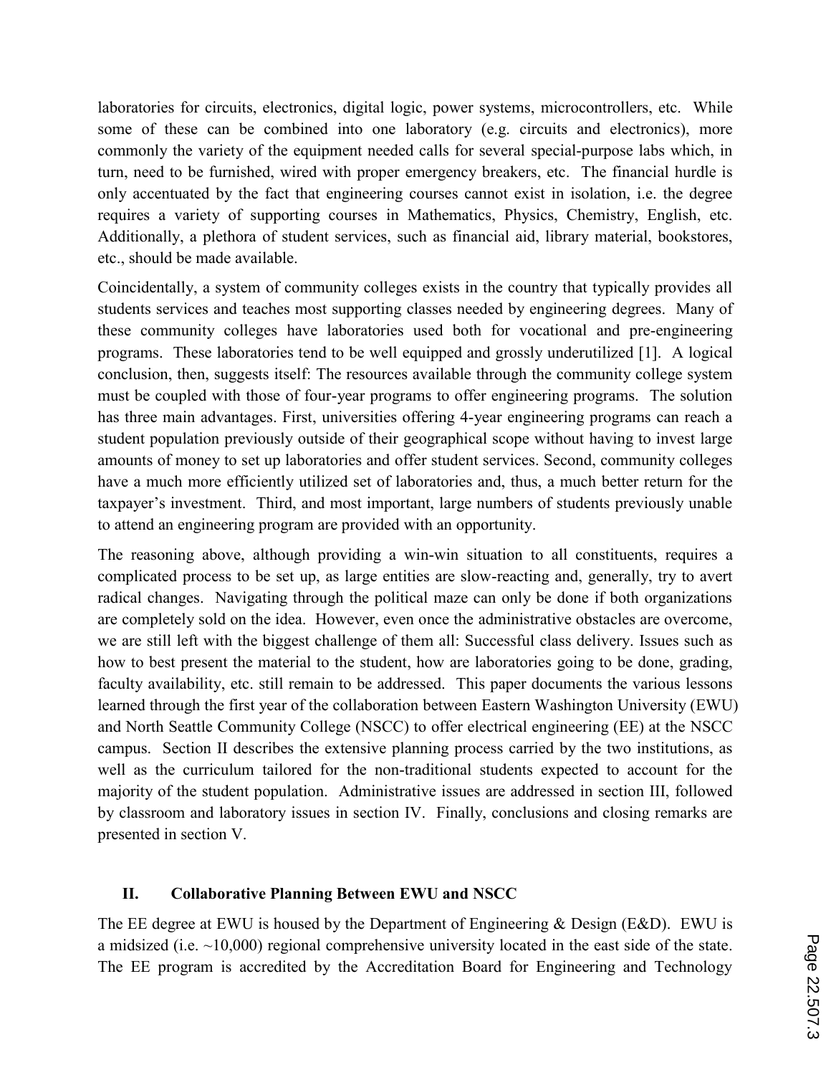laboratories for circuits, electronics, digital logic, power systems, microcontrollers, etc. While some of these can be combined into one laboratory (e.g. circuits and electronics), more commonly the variety of the equipment needed calls for several special-purpose labs which, in turn, need to be furnished, wired with proper emergency breakers, etc. The financial hurdle is only accentuated by the fact that engineering courses cannot exist in isolation, i.e. the degree requires a variety of supporting courses in Mathematics, Physics, Chemistry, English, etc. Additionally, a plethora of student services, such as financial aid, library material, bookstores, etc., should be made available.

Coincidentally, a system of community colleges exists in the country that typically provides all students services and teaches most supporting classes needed by engineering degrees. Many of these community colleges have laboratories used both for vocational and pre-engineering programs. These laboratories tend to be well equipped and grossly underutilized [1]. A logical conclusion, then, suggests itself: The resources available through the community college system must be coupled with those of four-year programs to offer engineering programs. The solution has three main advantages. First, universities offering 4-year engineering programs can reach a student population previously outside of their geographical scope without having to invest large amounts of money to set up laboratories and offer student services. Second, community colleges have a much more efficiently utilized set of laboratories and, thus, a much better return for the taxpayer's investment. Third, and most important, large numbers of students previously unable to attend an engineering program are provided with an opportunity.

The reasoning above, although providing a win-win situation to all constituents, requires a complicated process to be set up, as large entities are slow-reacting and, generally, try to avert radical changes. Navigating through the political maze can only be done if both organizations are completely sold on the idea. However, even once the administrative obstacles are overcome, we are still left with the biggest challenge of them all: Successful class delivery. Issues such as how to best present the material to the student, how are laboratories going to be done, grading, faculty availability, etc. still remain to be addressed. This paper documents the various lessons learned through the first year of the collaboration between Eastern Washington University (EWU) and North Seattle Community College (NSCC) to offer electrical engineering (EE) at the NSCC campus. Section II describes the extensive planning process carried by the two institutions, as well as the curriculum tailored for the non-traditional students expected to account for the majority of the student population. Administrative issues are addressed in section III, followed by classroom and laboratory issues in section IV. Finally, conclusions and closing remarks are presented in section V.

# **II. Collaborative Planning Between EWU and NSCC**

The EE degree at EWU is housed by the Department of Engineering & Design (E&D). EWU is a midsized (i.e. ~10,000) regional comprehensive university located in the east side of the state. The EE program is accredited by the Accreditation Board for Engineering and Technology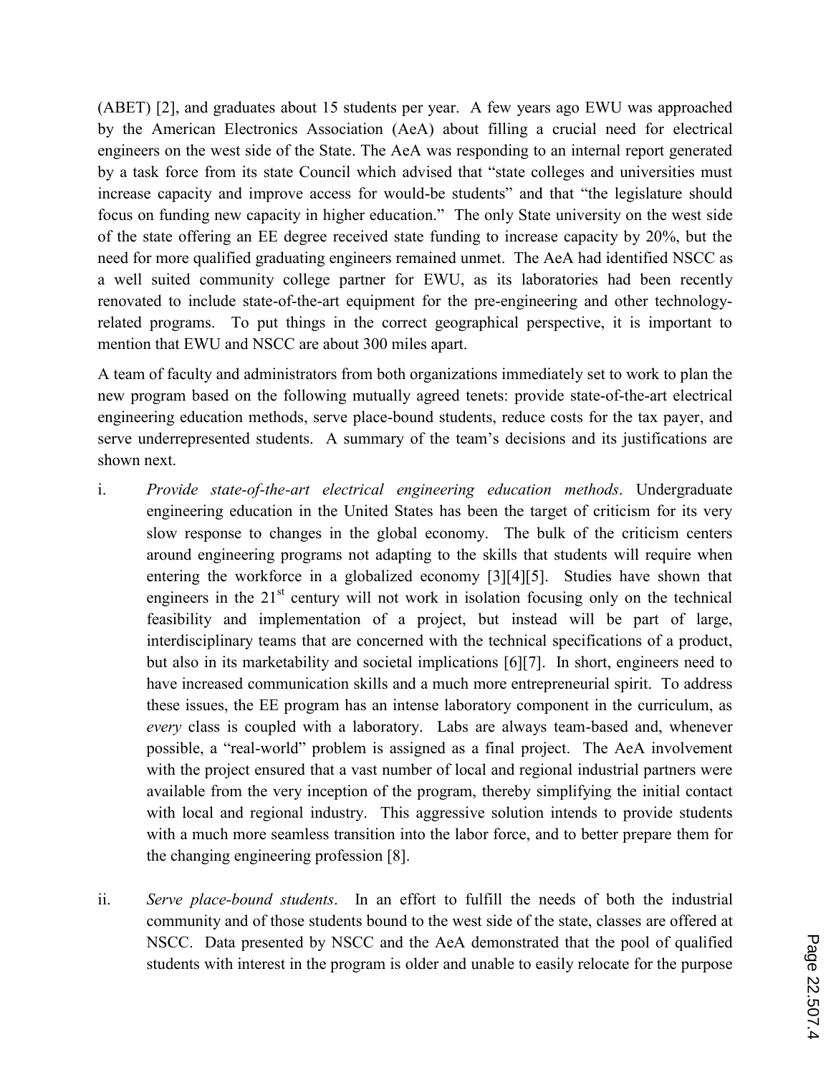(ABET) [2], and graduates about 15 students per year. A few years ago EWU was approached by the American Electronics Association (AeA) about filling a crucial need for electrical engineers on the west side of the State. The AeA was responding to an internal report generated by a task force from its state Council which advised that "state colleges and universities must increase capacity and improve access for would-be students" and that "the legislature should focus on funding new capacity in higher education." The only State university on the west side of the state offering an EE degree received state funding to increase capacity by 20%, but the need for more qualified graduating engineers remained unmet. The AeA had identified NSCC as a well suited community college partner for EWU, as its laboratories had been recently renovated to include state-of-the-art equipment for the pre-engineering and other technologyrelated programs. To put things in the correct geographical perspective, it is important to mention that EWU and NSCC are about 300 miles apart.

A team of faculty and administrators from both organizations immediately set to work to plan the new program based on the following mutually agreed tenets: provide state-of-the-art electrical engineering education methods, serve place-bound students, reduce costs for the tax payer, and serve underrepresented students. A summary of the team's decisions and its justifications are shown next.

- i. *Provide state-of-the-art electrical engineering education methods*. Undergraduate engineering education in the United States has been the target of criticism for its very slow response to changes in the global economy. The bulk of the criticism centers around engineering programs not adapting to the skills that students will require when entering the workforce in a globalized economy [3][4][5]. Studies have shown that engineers in the  $21<sup>st</sup>$  century will not work in isolation focusing only on the technical feasibility and implementation of a project, but instead will be part of large, interdisciplinary teams that are concerned with the technical specifications of a product, but also in its marketability and societal implications [6][7]. In short, engineers need to have increased communication skills and a much more entrepreneurial spirit. To address these issues, the EE program has an intense laboratory component in the curriculum, as *every* class is coupled with a laboratory. Labs are always team-based and, whenever possible, a "real-world" problem is assigned as a final project. The AeA involvement with the project ensured that a vast number of local and regional industrial partners were available from the very inception of the program, thereby simplifying the initial contact with local and regional industry. This aggressive solution intends to provide students with a much more seamless transition into the labor force, and to better prepare them for the changing engineering profession [8].
- ii. *Serve place-bound students*. In an effort to fulfill the needs of both the industrial community and of those students bound to the west side of the state, classes are offered at NSCC. Data presented by NSCC and the AeA demonstrated that the pool of qualified students with interest in the program is older and unable to easily relocate for the purpose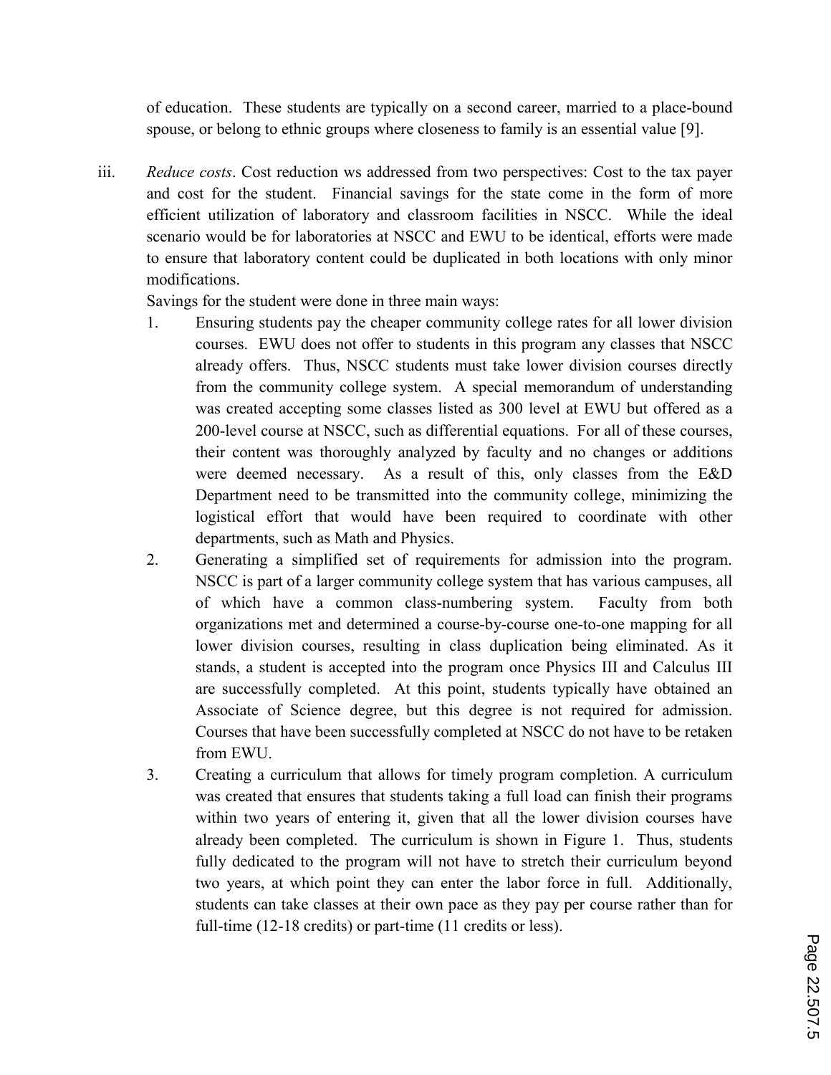of education. These students are typically on a second career, married to a place-bound spouse, or belong to ethnic groups where closeness to family is an essential value [9].

iii. *Reduce costs*. Cost reduction ws addressed from two perspectives: Cost to the tax payer and cost for the student. Financial savings for the state come in the form of more efficient utilization of laboratory and classroom facilities in NSCC. While the ideal scenario would be for laboratories at NSCC and EWU to be identical, efforts were made to ensure that laboratory content could be duplicated in both locations with only minor modifications.

Savings for the student were done in three main ways:

- 1. Ensuring students pay the cheaper community college rates for all lower division courses. EWU does not offer to students in this program any classes that NSCC already offers. Thus, NSCC students must take lower division courses directly from the community college system. A special memorandum of understanding was created accepting some classes listed as 300 level at EWU but offered as a 200-level course at NSCC, such as differential equations. For all of these courses, their content was thoroughly analyzed by faculty and no changes or additions were deemed necessary. As a result of this, only classes from the E&D Department need to be transmitted into the community college, minimizing the logistical effort that would have been required to coordinate with other departments, such as Math and Physics.
- 2. Generating a simplified set of requirements for admission into the program. NSCC is part of a larger community college system that has various campuses, all of which have a common class-numbering system. Faculty from both organizations met and determined a course-by-course one-to-one mapping for all lower division courses, resulting in class duplication being eliminated. As it stands, a student is accepted into the program once Physics III and Calculus III are successfully completed. At this point, students typically have obtained an Associate of Science degree, but this degree is not required for admission. Courses that have been successfully completed at NSCC do not have to be retaken from EWU.
- 3. Creating a curriculum that allows for timely program completion. A curriculum was created that ensures that students taking a full load can finish their programs within two years of entering it, given that all the lower division courses have already been completed. The curriculum is shown in Figure 1. Thus, students fully dedicated to the program will not have to stretch their curriculum beyond two years, at which point they can enter the labor force in full. Additionally, students can take classes at their own pace as they pay per course rather than for full-time (12-18 credits) or part-time (11 credits or less).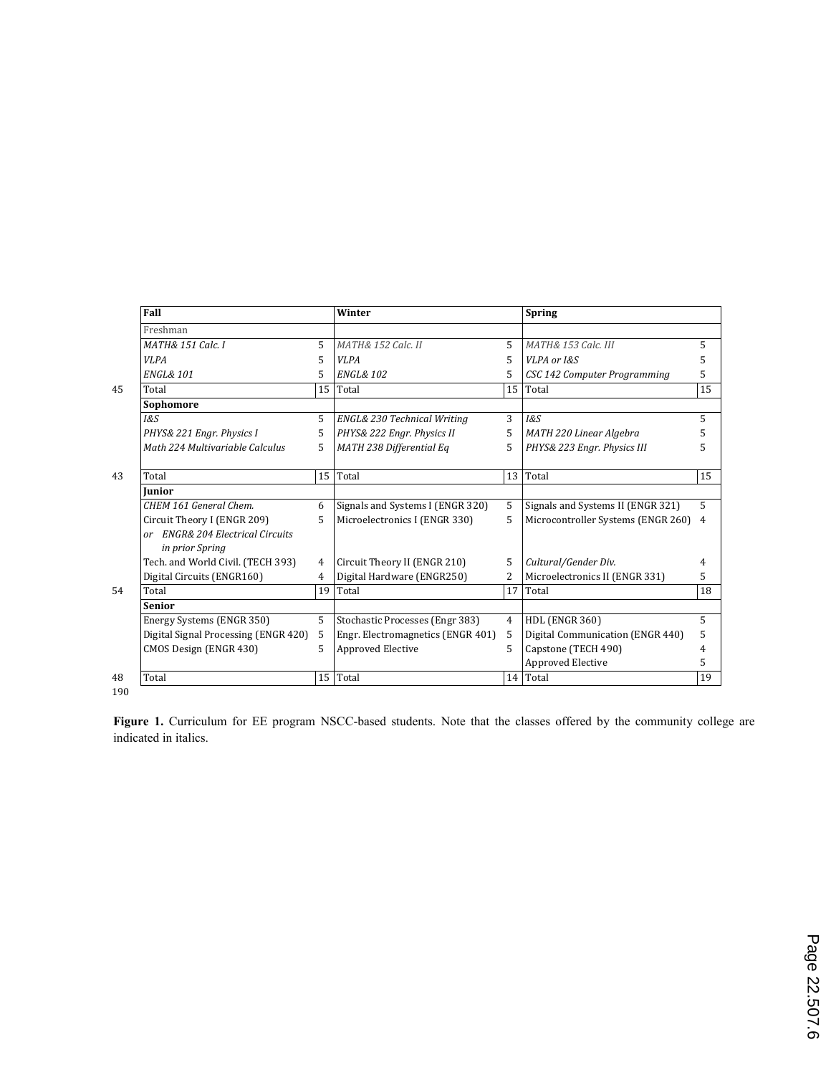| Fall                                                |    | Winter                            |                                   | <b>Spring</b>                      |                |
|-----------------------------------------------------|----|-----------------------------------|-----------------------------------|------------------------------------|----------------|
| Freshman                                            |    |                                   |                                   |                                    |                |
| <b>MATH&amp; 151 Calc. I</b>                        | 5  | <b>MATH&amp; 152 Calc. II</b>     | 5                                 | <b>MATH&amp; 153 Calc. III</b>     | 5              |
| <b>VLPA</b>                                         | 5  | VI.PA                             | 5                                 | VLPA or I&S                        | 5              |
| <b>ENGL&amp; 101</b>                                | 5. | <b>ENGL&amp; 102</b>              | 5                                 | CSC 142 Computer Programming       | 5              |
| Total                                               |    | Total                             | 15                                | Total                              | 15             |
| Sophomore                                           |    |                                   |                                   |                                    |                |
| 1&S                                                 | 5  | ENGL& 230 Technical Writing       | 3                                 | <b>1&amp;S</b>                     | 5              |
| PHYS& 221 Engr. Physics I                           | 5  | PHYS& 222 Engr. Physics II        | 5                                 | MATH 220 Linear Algebra            | 5              |
| Math 224 Multivariable Calculus                     | 5  | MATH 238 Differential Eq          | 5                                 | PHYS& 223 Engr. Physics III        | 5              |
| Total                                               |    | Total                             | 13                                | Total                              | 15             |
| Iunior                                              |    |                                   |                                   |                                    |                |
| CHEM 161 General Chem.                              | 6  | Signals and Systems I (ENGR 320)  | 5                                 | Signals and Systems II (ENGR 321)  | 5              |
| Circuit Theory I (ENGR 209)                         | 5  | Microelectronics I (ENGR 330)     | 5                                 | Microcontroller Systems (ENGR 260) | $\overline{4}$ |
| or ENGR& 204 Electrical Circuits<br>in prior Spring |    |                                   |                                   |                                    |                |
| Tech. and World Civil. (TECH 393)                   | 4  | Circuit Theory II (ENGR 210)      | 5                                 | Cultural/Gender Div.               | 4              |
| Digital Circuits (ENGR160)                          | 4  | Digital Hardware (ENGR250)        | 2                                 | Microelectronics II (ENGR 331)     | 5              |
| Total                                               | 19 | Total                             | 17                                | Total                              | 18             |
| <b>Senior</b>                                       |    |                                   |                                   |                                    |                |
| Energy Systems (ENGR 350)                           | 5  | Stochastic Processes (Engr 383)   | $\overline{4}$                    | <b>HDL (ENGR 360)</b>              | 5              |
| Digital Signal Processing (ENGR 420)                | 5  | Engr. Electromagnetics (ENGR 401) | 5                                 | Digital Communication (ENGR 440)   | 5              |
| CMOS Design (ENGR 430)                              | 5. | Approved Elective                 | 5                                 | Capstone (TECH 490)                | 4              |
|                                                     |    |                                   |                                   | Approved Elective                  | 5              |
| Total                                               |    |                                   |                                   | Total                              | 19             |
|                                                     |    |                                   | 15<br>15 <sup>1</sup><br>15 Total |                                    | 14             |

190

**Figure 1.** Curriculum for EE program NSCC-based students. Note that the classes offered by the community college are indicated in italics.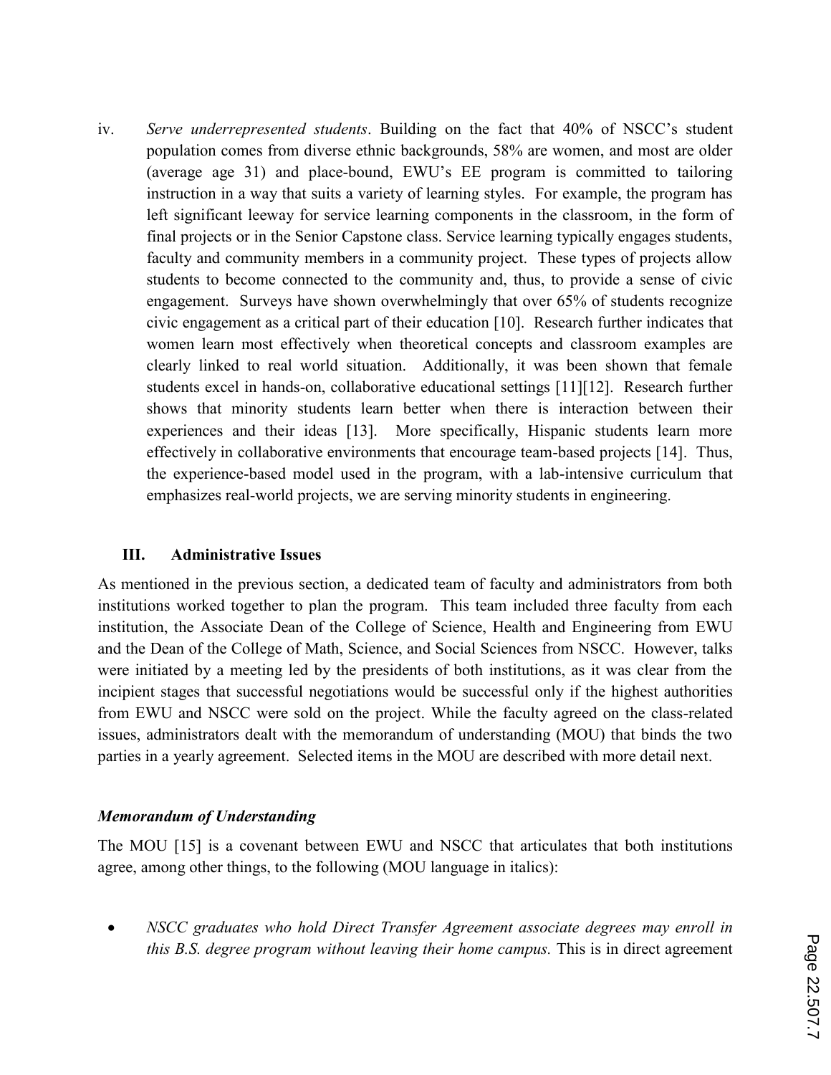iv. *Serve underrepresented students*. Building on the fact that 40% of NSCC's student population comes from diverse ethnic backgrounds, 58% are women, and most are older (average age 31) and place-bound, EWU's EE program is committed to tailoring instruction in a way that suits a variety of learning styles. For example, the program has left significant leeway for service learning components in the classroom, in the form of final projects or in the Senior Capstone class. Service learning typically engages students, faculty and community members in a community project. These types of projects allow students to become connected to the community and, thus, to provide a sense of civic engagement. Surveys have shown overwhelmingly that over 65% of students recognize civic engagement as a critical part of their education [10]. Research further indicates that women learn most effectively when theoretical concepts and classroom examples are clearly linked to real world situation. Additionally, it was been shown that female students excel in hands-on, collaborative educational settings [11][12]. Research further shows that minority students learn better when there is interaction between their experiences and their ideas [13]. More specifically, Hispanic students learn more effectively in collaborative environments that encourage team-based projects [14]. Thus, the experience-based model used in the program, with a lab-intensive curriculum that emphasizes real-world projects, we are serving minority students in engineering.

### **III. Administrative Issues**

As mentioned in the previous section, a dedicated team of faculty and administrators from both institutions worked together to plan the program. This team included three faculty from each institution, the Associate Dean of the College of Science, Health and Engineering from EWU and the Dean of the College of Math, Science, and Social Sciences from NSCC. However, talks were initiated by a meeting led by the presidents of both institutions, as it was clear from the incipient stages that successful negotiations would be successful only if the highest authorities from EWU and NSCC were sold on the project. While the faculty agreed on the class-related issues, administrators dealt with the memorandum of understanding (MOU) that binds the two parties in a yearly agreement. Selected items in the MOU are described with more detail next.

## *Memorandum of Understanding*

The MOU [15] is a covenant between EWU and NSCC that articulates that both institutions agree, among other things, to the following (MOU language in italics):

 *NSCC graduates who hold Direct Transfer Agreement associate degrees may enroll in this B.S. degree program without leaving their home campus. This is in direct agreement*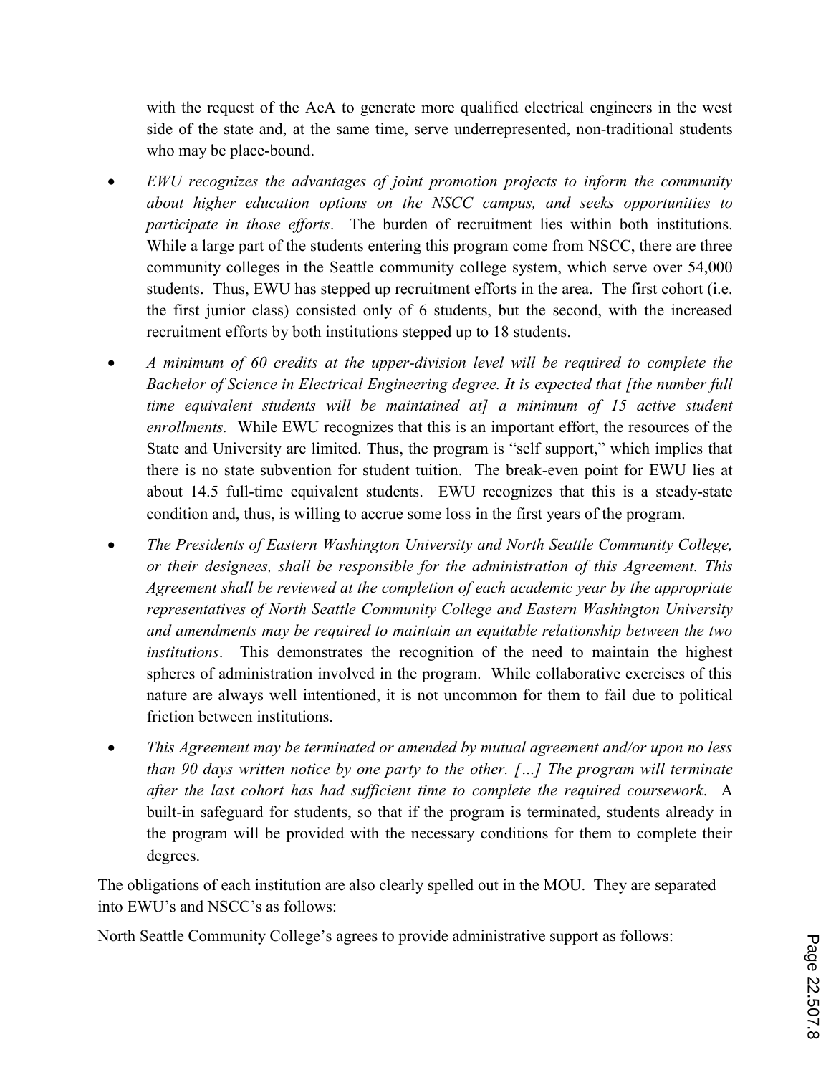with the request of the AeA to generate more qualified electrical engineers in the west side of the state and, at the same time, serve underrepresented, non-traditional students who may be place-bound.

- *EWU recognizes the advantages of joint promotion projects to inform the community about higher education options on the NSCC campus, and seeks opportunities to participate in those efforts*. The burden of recruitment lies within both institutions. While a large part of the students entering this program come from NSCC, there are three community colleges in the Seattle community college system, which serve over 54,000 students. Thus, EWU has stepped up recruitment efforts in the area. The first cohort (i.e. the first junior class) consisted only of 6 students, but the second, with the increased recruitment efforts by both institutions stepped up to 18 students.
- *A minimum of 60 credits at the upper-division level will be required to complete the Bachelor of Science in Electrical Engineering degree. It is expected that [the number full time equivalent students will be maintained at] a minimum of 15 active student enrollments.*While EWU recognizes that this is an important effort, the resources of the State and University are limited. Thus, the program is "self support," which implies that there is no state subvention for student tuition. The break-even point for EWU lies at about 14.5 full-time equivalent students. EWU recognizes that this is a steady-state condition and, thus, is willing to accrue some loss in the first years of the program.
- *The Presidents of Eastern Washington University and North Seattle Community College, or their designees, shall be responsible for the administration of this Agreement. This Agreement shall be reviewed at the completion of each academic year by the appropriate representatives of North Seattle Community College and Eastern Washington University and amendments may be required to maintain an equitable relationship between the two institutions*. This demonstrates the recognition of the need to maintain the highest spheres of administration involved in the program. While collaborative exercises of this nature are always well intentioned, it is not uncommon for them to fail due to political friction between institutions.
- *This Agreement may be terminated or amended by mutual agreement and/or upon no less than 90 days written notice by one party to the other. […] The program will terminate after the last cohort has had sufficient time to complete the required coursework*. A built-in safeguard for students, so that if the program is terminated, students already in the program will be provided with the necessary conditions for them to complete their degrees.

The obligations of each institution are also clearly spelled out in the MOU. They are separated into EWU's and NSCC's as follows:

North Seattle Community College's agrees to provide administrative support as follows: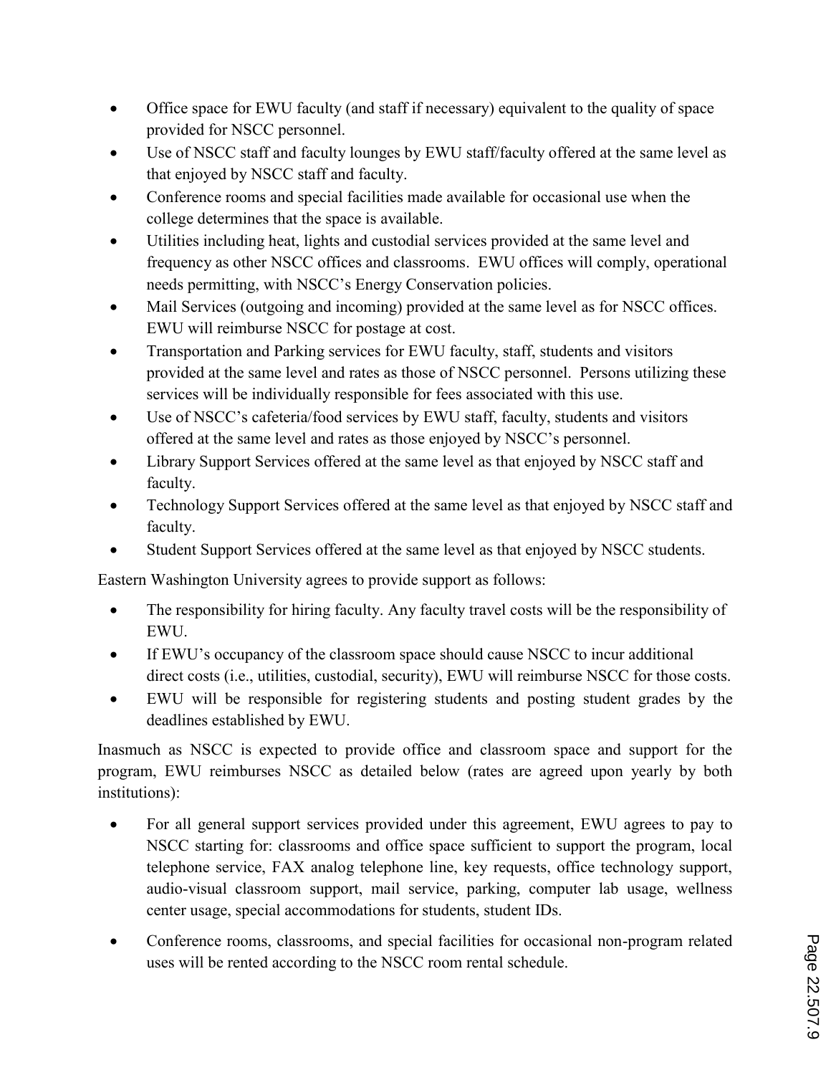- Office space for EWU faculty (and staff if necessary) equivalent to the quality of space provided for NSCC personnel.
- Use of NSCC staff and faculty lounges by EWU staff/faculty offered at the same level as that enjoyed by NSCC staff and faculty.
- Conference rooms and special facilities made available for occasional use when the college determines that the space is available.
- Utilities including heat, lights and custodial services provided at the same level and frequency as other NSCC offices and classrooms. EWU offices will comply, operational needs permitting, with NSCC's Energy Conservation policies.
- Mail Services (outgoing and incoming) provided at the same level as for NSCC offices. EWU will reimburse NSCC for postage at cost.
- Transportation and Parking services for EWU faculty, staff, students and visitors provided at the same level and rates as those of NSCC personnel. Persons utilizing these services will be individually responsible for fees associated with this use.
- Use of NSCC's cafeteria/food services by EWU staff, faculty, students and visitors offered at the same level and rates as those enjoyed by NSCC's personnel.
- Library Support Services offered at the same level as that enjoyed by NSCC staff and faculty.
- Technology Support Services offered at the same level as that enjoyed by NSCC staff and faculty.
- Student Support Services offered at the same level as that enjoyed by NSCC students.

Eastern Washington University agrees to provide support as follows:

- The responsibility for hiring faculty. Any faculty travel costs will be the responsibility of EWU.
- If EWU's occupancy of the classroom space should cause NSCC to incur additional direct costs (i.e., utilities, custodial, security), EWU will reimburse NSCC for those costs.
- EWU will be responsible for registering students and posting student grades by the deadlines established by EWU.

Inasmuch as NSCC is expected to provide office and classroom space and support for the program, EWU reimburses NSCC as detailed below (rates are agreed upon yearly by both institutions):

- For all general support services provided under this agreement, EWU agrees to pay to NSCC starting for: classrooms and office space sufficient to support the program, local telephone service, FAX analog telephone line, key requests, office technology support, audio-visual classroom support, mail service, parking, computer lab usage, wellness center usage, special accommodations for students, student IDs.
- Conference rooms, classrooms, and special facilities for occasional non-program related uses will be rented according to the NSCC room rental schedule.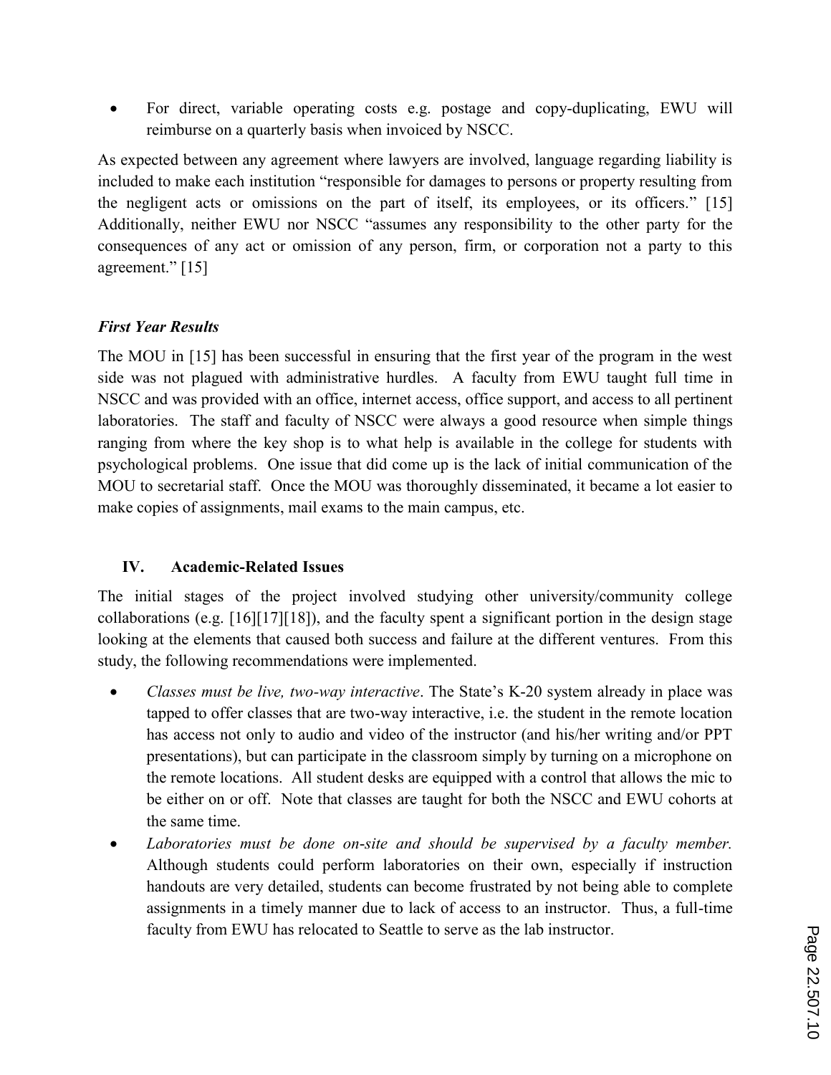For direct, variable operating costs e.g. postage and copy-duplicating, EWU will reimburse on a quarterly basis when invoiced by NSCC.

As expected between any agreement where lawyers are involved, language regarding liability is included to make each institution "responsible for damages to persons or property resulting from the negligent acts or omissions on the part of itself, its employees, or its officers." [15] Additionally, neither EWU nor NSCC "assumes any responsibility to the other party for the consequences of any act or omission of any person, firm, or corporation not a party to this agreement." [15]

## *First Year Results*

The MOU in [15] has been successful in ensuring that the first year of the program in the west side was not plagued with administrative hurdles. A faculty from EWU taught full time in NSCC and was provided with an office, internet access, office support, and access to all pertinent laboratories. The staff and faculty of NSCC were always a good resource when simple things ranging from where the key shop is to what help is available in the college for students with psychological problems. One issue that did come up is the lack of initial communication of the MOU to secretarial staff. Once the MOU was thoroughly disseminated, it became a lot easier to make copies of assignments, mail exams to the main campus, etc.

# **IV. Academic-Related Issues**

The initial stages of the project involved studying other university/community college collaborations (e.g. [16][17][18]), and the faculty spent a significant portion in the design stage looking at the elements that caused both success and failure at the different ventures. From this study, the following recommendations were implemented.

- *Classes must be live, two-way interactive*. The State's K-20 system already in place was tapped to offer classes that are two-way interactive, i.e. the student in the remote location has access not only to audio and video of the instructor (and his/her writing and/or PPT presentations), but can participate in the classroom simply by turning on a microphone on the remote locations. All student desks are equipped with a control that allows the mic to be either on or off. Note that classes are taught for both the NSCC and EWU cohorts at the same time.
- *Laboratories must be done on*-*site and should be supervised by a faculty member.*  Although students could perform laboratories on their own, especially if instruction handouts are very detailed, students can become frustrated by not being able to complete assignments in a timely manner due to lack of access to an instructor. Thus, a full-time faculty from EWU has relocated to Seattle to serve as the lab instructor.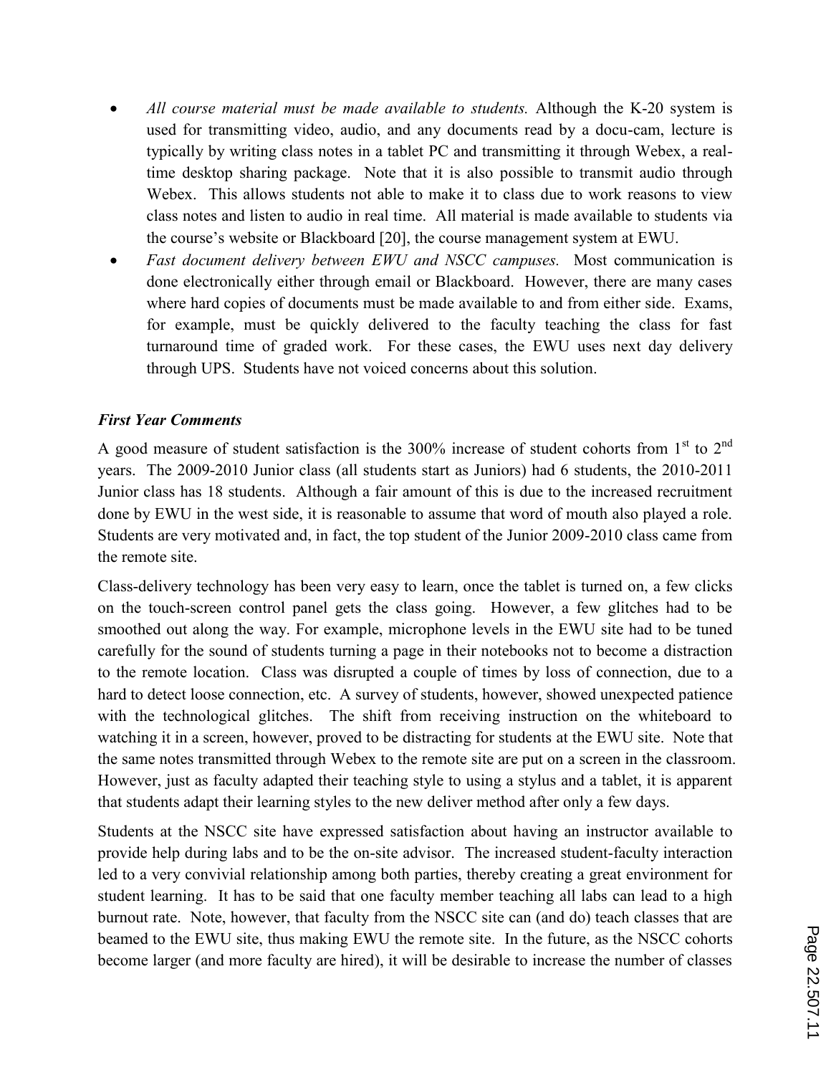- *All course material must be made available to students.* Although the K-20 system is used for transmitting video, audio, and any documents read by a docu-cam, lecture is typically by writing class notes in a tablet PC and transmitting it through Webex, a realtime desktop sharing package. Note that it is also possible to transmit audio through Webex. This allows students not able to make it to class due to work reasons to view class notes and listen to audio in real time. All material is made available to students via the course's website or Blackboard [20], the course management system at EWU.
- *Fast document delivery between EWU and NSCC campuses.* Most communication is done electronically either through email or Blackboard. However, there are many cases where hard copies of documents must be made available to and from either side. Exams, for example, must be quickly delivered to the faculty teaching the class for fast turnaround time of graded work. For these cases, the EWU uses next day delivery through UPS. Students have not voiced concerns about this solution.

### *First Year Comments*

A good measure of student satisfaction is the  $300\%$  increase of student cohorts from 1<sup>st</sup> to 2<sup>nd</sup> years. The 2009-2010 Junior class (all students start as Juniors) had 6 students, the 2010-2011 Junior class has 18 students. Although a fair amount of this is due to the increased recruitment done by EWU in the west side, it is reasonable to assume that word of mouth also played a role. Students are very motivated and, in fact, the top student of the Junior 2009-2010 class came from the remote site.

Class-delivery technology has been very easy to learn, once the tablet is turned on, a few clicks on the touch-screen control panel gets the class going. However, a few glitches had to be smoothed out along the way. For example, microphone levels in the EWU site had to be tuned carefully for the sound of students turning a page in their notebooks not to become a distraction to the remote location. Class was disrupted a couple of times by loss of connection, due to a hard to detect loose connection, etc. A survey of students, however, showed unexpected patience with the technological glitches. The shift from receiving instruction on the whiteboard to watching it in a screen, however, proved to be distracting for students at the EWU site. Note that the same notes transmitted through Webex to the remote site are put on a screen in the classroom. However, just as faculty adapted their teaching style to using a stylus and a tablet, it is apparent that students adapt their learning styles to the new deliver method after only a few days.

Students at the NSCC site have expressed satisfaction about having an instructor available to provide help during labs and to be the on-site advisor. The increased student-faculty interaction led to a very convivial relationship among both parties, thereby creating a great environment for student learning. It has to be said that one faculty member teaching all labs can lead to a high burnout rate. Note, however, that faculty from the NSCC site can (and do) teach classes that are beamed to the EWU site, thus making EWU the remote site. In the future, as the NSCC cohorts become larger (and more faculty are hired), it will be desirable to increase the number of classes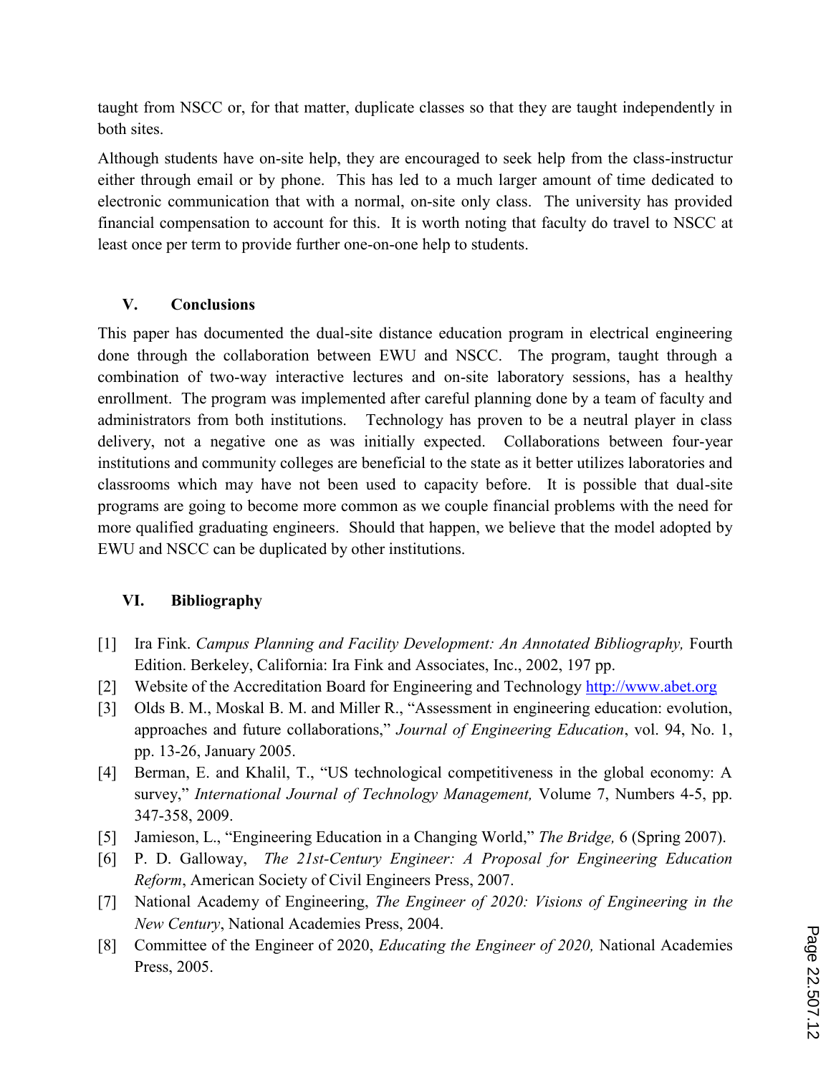taught from NSCC or, for that matter, duplicate classes so that they are taught independently in both sites.

Although students have on-site help, they are encouraged to seek help from the class-instructur either through email or by phone. This has led to a much larger amount of time dedicated to electronic communication that with a normal, on-site only class. The university has provided financial compensation to account for this. It is worth noting that faculty do travel to NSCC at least once per term to provide further one-on-one help to students.

## **V. Conclusions**

This paper has documented the dual-site distance education program in electrical engineering done through the collaboration between EWU and NSCC. The program, taught through a combination of two-way interactive lectures and on-site laboratory sessions, has a healthy enrollment. The program was implemented after careful planning done by a team of faculty and administrators from both institutions. Technology has proven to be a neutral player in class delivery, not a negative one as was initially expected. Collaborations between four-year institutions and community colleges are beneficial to the state as it better utilizes laboratories and classrooms which may have not been used to capacity before. It is possible that dual-site programs are going to become more common as we couple financial problems with the need for more qualified graduating engineers. Should that happen, we believe that the model adopted by EWU and NSCC can be duplicated by other institutions.

# **VI. Bibliography**

- [1] Ira Fink. *Campus Planning and Facility Development: An Annotated Bibliography,* Fourth Edition. Berkeley, California: Ira Fink and Associates, Inc., 2002, 197 pp.
- [2] Website of the Accreditation Board for Engineering and Technology http://www.abet.org
- [3] Olds B. M., Moskal B. M. and Miller R., "Assessment in engineering education: evolution, approaches and future collaborations," *Journal of Engineering Education*, vol. 94, No. 1, pp. 13-26, January 2005.
- [4] Berman, E. and Khalil, T., "US technological competitiveness in the global economy: A survey," *International Journal of Technology Management,* Volume 7, Numbers 4-5, pp. 347-358, 2009.
- [5] Jamieson, L., "Engineering Education in a Changing World," *The Bridge,* 6 (Spring 2007).
- [6] P. D. Galloway, *The 21st-Century Engineer: A Proposal for Engineering Education Reform*, American Society of Civil Engineers Press, 2007.
- [7] National Academy of Engineering, *The Engineer of 2020: Visions of Engineering in the New Century*, National Academies Press, 2004.
- [8] Committee of the Engineer of 2020, *Educating the Engineer of 2020,* National Academies Press, 2005.